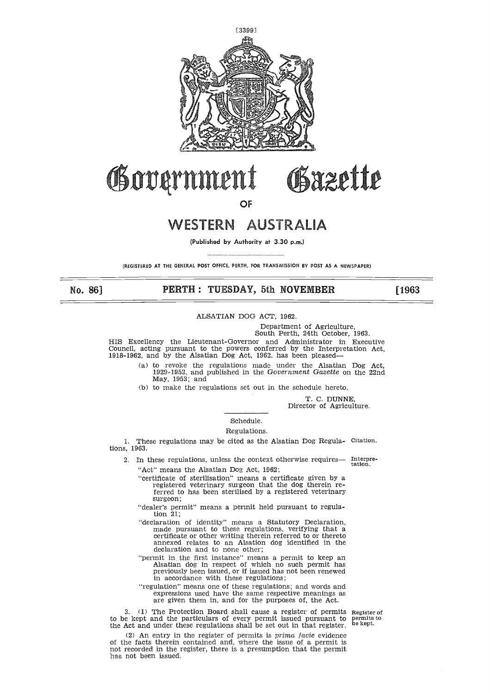

# **PPINNERTH**<br>
OF<br>
WESTERN AUSTRALIA<br>
(Published by Authority at 3.30 p.m.)<br>
THE GENERAL POST OFFICE, PERTH, FOR TRANSMISSION BY POST AS A NEWSPAPER)<br>
PERTH : TUESDAY, 5th NOVEMBER<br>
ALSATIAN DOG ACT, 1962.<br>
South Perth. 24th

No. 86

OF

# WESTERN AUSTRALIA

(Published by Authority at 3.30 p.m.)

(REGISTERED AT THE GENERAL POST OFFICE, PERTH, FOR TRANSMISSION BY POST AS A NEWSPAPER)

ALSATIAN DOG ACT, 1962.

Department of Agriculture,

South Perth, 24th October, 1963. HIS Excellency the Lieutenant-Governor and Administrator in Executive Council, acting pursuant to the powers conferred by the Interpretation Act,

1918-1962, and by the Alsatian Dog Act, 1962, has been pleased

(a) to revoke the regulations made under the Alsatian Dog Act, 1929-1952, and published in the *Government Gazette* on the 22nd May, 1953; and

(b) to make the regulations set out in the schedule hereto.

T. C. DUNNE,

Director of Agriculture.

# Schedule.

### Regulations.

1. These regulations may be cited as the Alsatian Dog Regula-Citation. tions, 1963.

2. In these regulations, unless the context otherwise requires— "Act" means the Alsatian Dog Act, 1962; Interpretation.

- "certificate of sterilisation" means a certificate given by a registered veterinary surgeon that the dog therein referred to has been sterilised by a registered veterinary surgeon;
- "dealer's permit" means a permit held pursuant to regulation 21;
- "declaration of identity" means a Statutory Declaration, made pursuant to these regulations, verifying that a certificate or other writing therein referred to or thereto annexed relates to an Alsation dog identified in the declaration and to none other;
- "permit in, the first instance" means a permit to keep an Alsatian dog in respect of which no such permit has previously been issued, or if issued has not been renewed in accordance with these regulations;
- "regulation" means one of these regulations; and words and expressions used have the same respective meanings as are given them in, and for the purposes of, the Act.

3. (1) The Protection Board shall cause a register of permits to be kept and the particulars of every permit issued pursuant to the Act and under these regulations shall be set out in that register.

Register of permits to be kept.

(2) An entry in the register of permits is *prima facie* evidence of the facts therein contained and, where the issue of a permit is not recorded in the register, there is a presumption that the permit has not been issued.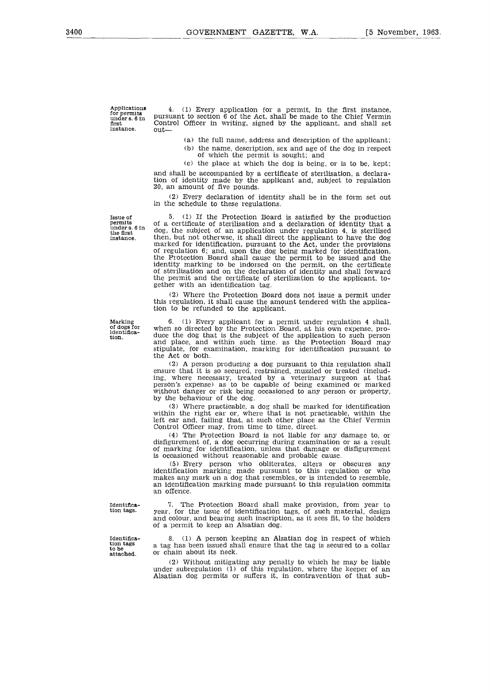Applications for permits under s. 6 in first instance.

4. (1) Every application for a permit, in the first instance, pursuant to section 6 of the Act, shall be made to the Chief Vermin Control Officer in writing, signed by the applicant, and shall set out

- (a) the full name, address and description of the applicant; (b) the name, description, sex and age of the dog in respect of which the permit is sought; and
- (c) the place at which the dog is being, or is to be, kept;

and shall be accompanied by a certificate of sterilisation, a declaration of identity made by the applicant and, subject to regulation 20, an amount of five pounds.

(2) Every declaration of identity shall be in the form set out in the schedule to these regulations.

Issue of permits under s. 6 in the first instance.

5. (1) If the Protection Board is satisfied by the production of a certificate of sterilisation and a declaration of identity that a dog, the subject of an application under regulation 4, is sterilised then, but not otherwse, it shall direct the applicant to have the dog marked for identification, pursuant to the Act, under the provisions of regulation 6; and, upon the dog being marked for identification, the Protection Board shall cause the permit to be issued and the identity marking to be indorsed on the permit, on the certificate of sterilisation and on the declaration of identity and shall forward the permit and the certificate of sterilization to the applicant, together with an identification tag.

(2) Where the Protection Board does not issue a permit under this regulation, it shall cause the amount tendered with the application to be refunded to the applicant.

6. (1) Every applicant for a permit under regulation 4 shall, when so directed by the Protection Board, at his own expense, produce the dog that is the subject of the application to such person and place, and within such time. as the Protection Board may stipulate, for examination, marking for identification pursuant to the Act or both.

(2) A person producing a dog pursuant to this regulation shall ensure that it is so secured, restrained, muzzled or treated (includ-ing, where necessary, treated by a veterinary surgeon at that person's expense) as to be capable of being examined or marked without danger or risk being occasioned to any person or property, by the behaviour of the dog.

(3) Where practicable, a dog shall be marked for identification within the right ear or, where that is not practicable, within the left ear and, failing that, at such other place as the Chief Vermin Control Officer may, from time to time, direct.

(4) The Protection Board is not liable for any damage to, or disfigurement of, a dog occurring during examination or as a result of marking for identification, unless that damage or disfigurement is occasioned without reasonable and probable cause.

(5) Every person who obliterates, alters or obscures any identification marking made pursuant to this regulation or who makes any mark on a dog that resembles, or is intended to resemble, an identification marking made pursuant to this regulation commits an offence.

Identification tags.

Identification tags to be attached.

7. The Protection Board shall make provision, from year to year, for the issue of identification tags, of such material, design and colour, and bearing such inscription, as it sees fit, to the holders of a permit to keep an Alsatian dog.

8. (1) A person keeping an Alsatian dog in respect of which a tag has been issued shall ensure that the tag is secured to a collar or chain about its neck.

(2) Without mitigating any penalty to which he may be liable under subregulation (1) of this regulation, where the keeper of an Alsatian dog permits or suffers it, in contravention of that sub-

Marking of dogs for identification.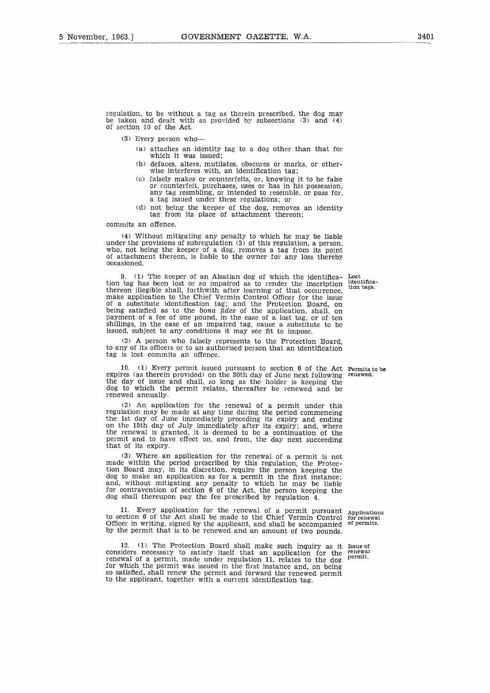regulation, to be without a tag as therein prescribed, the dog may be taken and dealt with as provided by subsections (3) and (4) of section 10 of the Act.

(3) Every person who-

- (a) attaches an identity tag to a dog other than that for which it was issued;
- (b) defaces, alters, mutilates, obscures or marks, or otherwise interferes with, an identification tag;
- (c) falsely makes or counterfeits, or, knowing it to be false or counterfeit, purchases, uses or has in his possession, any tag resmbling, or intended to resemble, or pass for a tag issued under these regulations; or
- (d) not being the keeper of the dog, removes an identity tag from its place of attachment thereon;

commits an offence.

(4) Without mitigating any penalty to which he may be liable under the provisions of subregulation (3) of this regulation, a person, who, not being the keeper of a dog, removes a tag from its point of attachment thereon, is liable to the owner for any loss thereby occasioned.

> identification tags.

9. (1) The keeper of an Alsatian dog of which the identifica-Lost tion tag has been lost or so impaired as to render the inscription thereon illegible shall, forthwith after learning of that occurrence, make application to the Chief Vermin Control Officer for the issue of a substitute identification tag; and the Protection Board, on being satisfied as to the bona *fides* of the application, shall, on payment of a fee of one pound, in the case of a lost tag, or of ten shillings, in the case of an impaired tag, cause a substitute to be issued, subject to any conditions it may see fit to impose.

(2) A person who falsely represents to the Protection Board, to any of its officers or to an authorised person that an identification tag is lost commits an offence.

(1) Every permit issued pursuant to section  $6$  of the Act Permits to be as therein provided) on the 30th day of June next following renewed. expires (as therein provided) on the 30th day of June next following renewed. the day of issue and shall, so long as the holder is keeping the dog to which the permit relates, thereafter be renewed and be renewed annually.

(2) An application for the renewal of a permit under this regulation may be made at any time during the period commencing the 1st day of June immediately preceding its expiry and ending on the 15th day of July immediately after its expiry; and, where the renewal is granted, it is deemed to be a continuation of the permit and to have effect on, and from, the day next succeeding that of its expiry.

(3) Where an application for the renewal of a permit is not made within the period prescribed by this regulation, the Protection Board may, in its discretion, require the person keeping the dog to make an application as for a permit in the first instance; and, without mitigating any penalty to which he may be liable for contravention of section 6 of the Act, the person keeping the dog shall thereupon pay the fee prescribed by regulation 4.

11. Every application for the renewal of a permit pursuant to section 6 of the Act shall be made to the Chief Vermin Control Officer in writing, signed by the applicant, and shall be accompanied by the permit that is to be renewed and an amount of two pounds.

12. (1) The Protection Board shall make such inquiry as it Issue of considers necessary to satisfy itself that an application for the renewal of a permit, made under regulation 11, relates to the dog for which the permit was issued in the first instance and, on being so satisfied, shall renew the permit and forward the renewed permit to the applicant, together with a current identification tag.

Applications for renewal of permits.

renewal permit.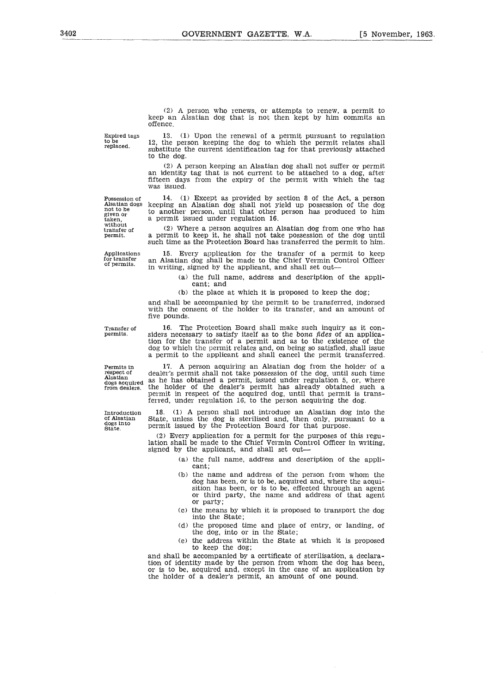(2) A person who renews, or attempts to renew, a permit to keep an Alsatian dog that is not then kept by him commits an offence.

Expire<br>to be<br>replac

(2) A person who renews, or attempts to renew, a permit to keep an Alsatian dog that is not then kept by him commits an offence.<br>
Expired tags  $\begin{array}{c} 13. \\ 13. \end{array}$  (1) Upon the renewal of a permit pursuant to regulatio Expired tags 13. (1) Upon the renewal of a permit pursuant to regulation to be 12, the person keeping the dog to which the permit relates shall replaced. substitute the current identification tag for that previously attach to the dog. (2) A person who renews, or attempts to renew, a permit to<br>
begp an Alsatian dog that is not then kept by him commits an<br>
offence.<br>  $\begin{array}{ll}\n \text{Expected} & \text{if } 1.3. \\
 \text{logulated} & \text{if } 1.3. \\
 \text{d) } & \text{if } 1.3. \\
 \text{d) } & \text{if } 1.3. \\
 \$ Expired tags 13. (1) Upon the renewal of a<br>to be<br>replaced. <br>a person keeping the dog to v<br>substitute the current identification t<br>to the dog.<br>(2) A person keeping an Alsatian<br>an identity tag that is not current if<br>fitteen

(2) A person keeping an Alsatian dog shall not suffer or permit an identity tag that is not current to be attached to a dog, after fifteen days from the expiry of the permit with which the tag was issued.

given or Expired to<br>to be<br>replaced.<br>Alsatian d<br>Alsatian diglyen or<br>taken,<br>without<br>wransfer or

Alsatian dogs keeping an Alsatian dog shall not yield up possession of the dog to another person, until that other person has produced to him transfer of a person keeping the dog to which the permit relates shall<br>
substitute the current identification tag for that previously attached<br>
to the dog.<br>
(2) A person keeping an Alsatian dog shall not suffer or permit<br> for transfer an Alsatian dog shall be made to the Chief Vermin Control Control Contents are person, until that other person has produced to him taken, a permit issued under regulation 16.<br>
The matter of the Control of the

a permit to keep it, he shall not take possession of the dog until such time as the Protection Board has transferred the permit to him.

Applications 15. Every application for the transfer of a permit to keep in writing, signed by the applicant, and shall set out

> (a) the full name, address and description of the applicant; and

(b) the place at which it is proposed to keep the dog;

and shall be accompanied by the permit to be transferred, indorsed with the consent of the holder to its transfer, and an amount of five pounds.

such time as the Protection Board has transferred the permit to him<br>Applications 15. Every application for the transfer of a permit to keep<br>for transfer an Alsatian dog shall be made to the Chief Vermin Control Office:<br>in permits. side•s necessary to satisfy itself as to the bona *fides* of an application for the transfer of a permit and as to the existence of the dog to which the permit relates and, on being so satisfied, shall issue a permit to the applicant and shall cancel the permit transferred.

and shall be run iname, address and description of the appli-<br>ant; and<br>(b) the place at which it is proposed to keep the dog;<br>and shall be accompanied by the permit to be transferred, indorsed<br>with the consent of the holde dogs cquired a be accompanied by the permit to be transferred, indorses with the consent of the holder to its transfer, and an amount of five pounds.<br>Transfer of the consent of the holder to its transfer, and an amount of permit in respect of the acquired dog, until that permit is transferred, under regulation 16, to the person acquiring the dog. Introduction<br>
Internal of the conduction for the transfer of a permit and as to the bond fides of an applica-<br>
tion for the transfer of a permit relates and, on being so satisfied, shall issues<br>
a permit to the applicant a

performance and the Protection Board for that purpose.<br>
of Alsatian State, unless the dog is sterilised and, then only, pursuant to a<br>
dogs into permit issued by the Protection Board for that purpose.

(2) Every application for a permit for the purposes of this regulation shall be made to the Chief Vermin Control Officer in writing, signed by the applicant, and shall set out

- (a) the full name, address and description of the applicant;
- (b) the name and address of the person from whom the dog has been, or is to be, acquired and, where the acquisition has been, or is to be, effected through an agent or third party, the name and address of that agent or party;
- (c) the means by which it is proposed to transport the dog into the State;
- (d) the proposed time and place of entry, or landing, of the dog, into or in the State;
- (e) the address within the State at which it is proposed to keep the dog;

and shall be accompanied by a certificate of sterilisation, a declaration of identity made by the person from whom the dog has been, or is to be, acquired and, except in the case of an application by the holder of a dealer's permit, an amount of one pound.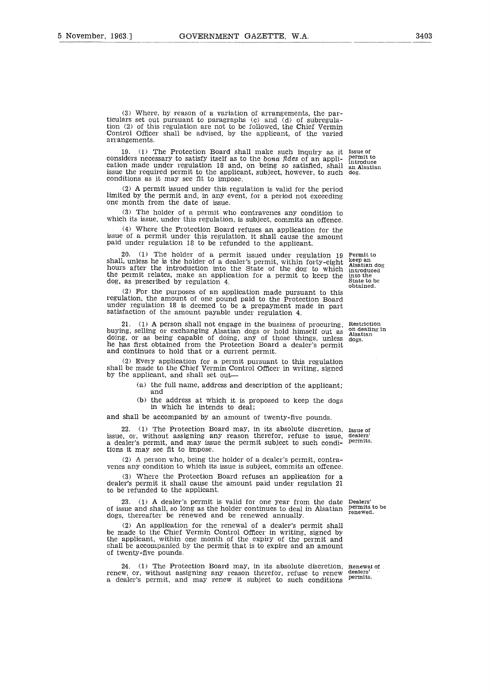(3) Where, by reason of a variation of arrangements, the particulars set out pursuant to paragraphs (c) and (d) of subregulation (2) of this regulation are not to be followed, the Chief Vermin Control Officer shall be advised, by the applicant, of the varied arrangements.

19. (1) The Protection Board shall make such inquiry as it Issue of considers necessary to satisfy itself as to the bona *fides* of an appli-cation made under regulation 18 and, on being so satisfied, shall issue the required permit to the applicant, subject, however, to such dog. conditions as it may see fit to impose.

(2) A permit issued under this regulation is valid for the period limited by the permit and, in any event, for a period not exceeding one month from the date of issue.

(3) The holder of a permit who contravenes any condition to which its issue, under this regulation, is subject, commits an offence.

(4) Where the Protection Board refuses an application for the issue of a permit under this regulation, it shall cause the amount paid under regulation 18 to be refunded to the applicant.

20. (1) The holder of a permit issued under regulation 19 shall, unless he is the holder of a dealer's permit, within forty-eight hours after the introduction into the State of the dog to which the permit relates, make an application for a permit to keep the dog, as prescribed by regulation 4. Permit to keep an Alsatian dog introduced into the State to be obtained.

(2) For the purposes of an application made pursuant to this regulation, the amount of one pound paid to the Protection Board under regulation 18 is deemed to be a prepayment made in part satisfaction of the amount payable under regulation 4.

21. (1) A person shall not engage in the business of procuring, 21. (1) A person shall not engage in the business of procuring, Restriction buying, selling or exchanging Alsatian dogs or hold himself out as also inceding doing, or as being capable of doing, any of those things, unless he has first obtained from the Protection Board a dealer's permit and continues to hold that or a current permit.

(2) Every application for a permit pursuant to this regulation shall be made to the Chief Vermin Control Officer in writing, signed by the applicant, and shall set out

> (a) the full name, address and description of the applicant; and

> (b) the address at which it is proposed to keep the dogs in which he intends to deal;

and shall be accompanied by an amount of twenty-five pounds.

22. (1) The Protection Board may, in its absolute discretion, Issue of issue, or, without assigning any reason therefor, refuse to issue a dealer's permit, and may issue the permit subject to such conditions it may see fit to impose. dealers' permits.

(2) A person who, being the holder of a dealer's permit, contravenes any condition to which its issue is subject, commits an offence.

(3) Where the Protection Board refuses an application for a dealer's permit it shall cause the amount paid under regulation 21 to be refunded to the applicant.

23. (1) A dealer's permit is valid for one year from the date Dealers' of issue and shall, so long as the holder continues to deal in Alsatian permits to be renewed. dogs, thereafter be renewed and be renewed annually.

(2) An application for the renewal of a dealer's permit shall be made to the Chief Vermin Control Officer in writing, signed by the applicant, within one month of the expiry of the permit and shall be accompanied by the permit that is to expire and an amount of twenty-five pounds.

24. (1) The Protection Board may, in its absolute discretion, Renewal of 24. (1) The Protection Board may, in its absolute discretion, renew, or, without assigning any reason therefor, refuse to renew a dealer's permit, and may renew it subject to such conditions

dealers' permits.

on dealing in Alsatian dogs.

permit to introduce an Alsatian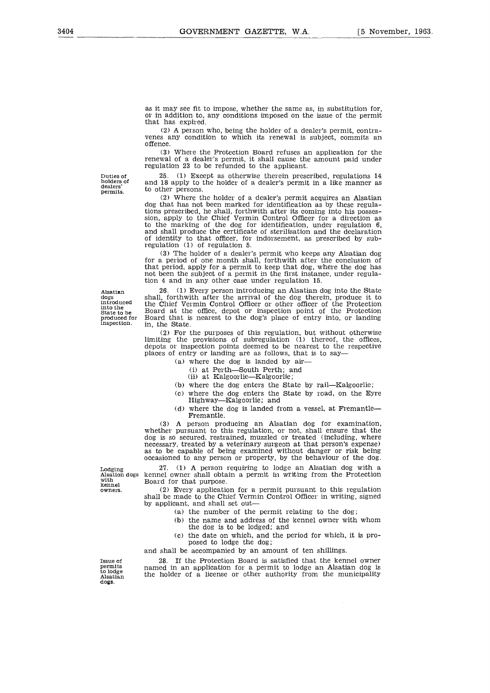as it may see fit to impose, whether the same as, in substitution for, or in addition to, any conditions imposed on the issue of the permit that has expired.

(2) A person who, being the holder of a dealer's permit, contravenes any condition to which its renewal is subject, commits an offence.

(3) Where the Protection Board refuses an application for the renewal of a dealer's permit, it shall cause the amount paid under regulation 23 to be refunded to the applicant.

25. (1) Except as otherwise therein prescribed, regulations 14 and 18 apply to the holder of a dealer's permit in a like manner as

(2) Where the holder of a dealer's permit acquires an Alsatian dog that has not been marked for identification as by these regulations prescribed, he shall, forthwith after its coming into his possession, apply to the Chief Vermin Control Officer for a direction as to the marking of the dog for identification, under regulation 6, and shall produce the certificate of sterilisation and the declaration of identity to that officer, for indorsement, as prescribed by sub-

(3) The holder of a dealer's permit who keeps any Alsatian dog for a period of one month shall, forthwith after the conclusion of that period, apply for a permit to keep that dog, where the dog has not been the subject of a permit in the first instance, under regula-

Duties of holders of dealers' permits.

to other persons.

regulation (1) of regulation 5.

Alsatian dogs introduced into the State to be produced for

inspection.

Lodging<br>Alsation<br>with<br>owners. Lodgi<br>Alsati<br>with<br>kenne<br>owner

26. (1) Every person introducing an Alsatian dog into the State shall, forthwith after the arrival of the dog therein, produce it to the Chief Vermin Control Officer or other officer of the Protection Board at the office, depot or inspection point of the Protection Board that is nearest to the dog's place of entry into, or landing in, the State.

(2) For the purposes of this regulation, but without otherwise limiting the provisions of subregulation (1) thereof, the offices, depots or inspection points deemed to be nearest to the respective places of entry or landing are as follows, that is to say

(a) where the dog is landed by air-

(i) at Perth—South Perth; and

(ii) at Kalgoorlie—Kalgoorlie;

tion 4 and in any other case under regulation 15.

- (b) where the dog enters the State by rail—Kalgoorlie;
- (c) where the dog enters the State by road, on the Eyre Highway—Kalgoorlie; and
- (d) where the dog is landed from a vessel, at Fremantle— Fremantle.

(3) A person producing an Alsatian dog for examination, whether pursuant to this regulation, or not, shall ensure that the dog is so secured, restrained, muzzled or treated (including, where necessary, treated by a veterinary surgeon at that person's expense) as to be capable of being examined without danger or risk being occasioned to any person or property, by the behaviour of the dog.

27. (1) A person requiring to lodge an Alsatian dog with a Alsation dogs kennel owner shall obtain a permit in writing from the Protection with Board for that purpose.<br>
with Board for that purpose.<br>
owners. (2) Every application

(2) Every application for a permit pursuant to this regulation shall be made to the Chief Vermin Control Officer in writing, signed by applicant, and shall set out

- (a) the number of the permit relating to the dog;
- (b) the name and address of the kennel owner with whom the dog is to be lodged; and
- (c) the date on which, and the period for which, it is proposed to lodge the dog;

and shall be accompanied by an amount of ten shillings.

28. If the Protection Board is satisfied that the kennel owner named in an application for a permit to lodge an Alsatian dog is the holder of a license or other authority from the municipality

Issue of permits to lodge Alsatian dogs.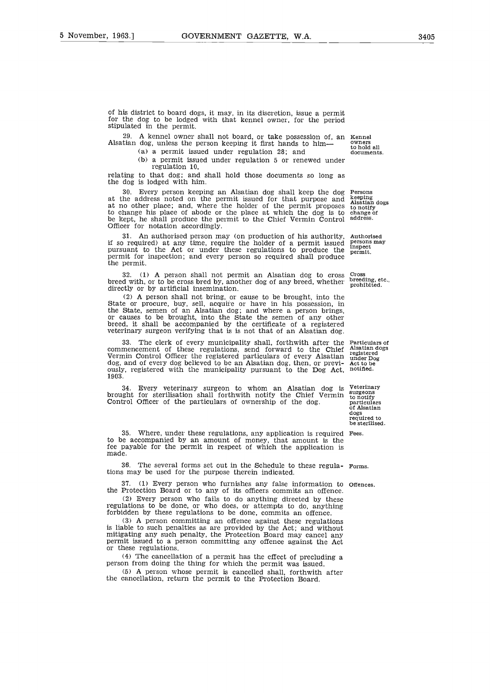of his district to board dogs, it may, in its discretion, issue a permit for the dog to be lodged with that kennel owner, for the period stipulated in the permit. strict to board dogs, it may, in its discretion, issue a permit<br>dog to be lodged with that kennel owner, for the period<br>in the permit.<br>A kennel owner shall not board, or take possession of, an Kennel<br>dog, unless the person

A kennel owner shall not board, or take possession of, an Kennel<br>a dog unless the person kenning it first hands to him. Alsatian dog, unless the person keeping it first hands to him to hold all<br>documents.

- 
- (b) a permit issued under regulation 5 or renewed under regulation 10,

relating to that dog; and shall hold those documents so long as the dog is lodged with him.

30. Every person keeping an Alsatian dog shall keep the dog at the address noted on the permit issued for that purpose and at no other place; and, where the holder of the permit proposes to change his place of abode or the place at which the dog is to be kept, he shall produce the permit to the Chief Vermin Control Officer for notation accordingly. to notify change of address.

An authorised person may (on production of his authority, if so required) at any time, require the holder of a permit issued pursuant to the Act or under these regulations to produce the permit for inspection; and every person so required shall produce the permit.

32. (1) A person shall not permit an Alsatian dog to cross breed with, or to be cross bred by, another dog of any breed, whether directly or by artificial insemination.

(2) A person shall not bring, or cause to be brought, into the State or procure, buy, sell, acquire or have in his possession, in the State, semen of an Alsatian dog; and where a person brings, or causes to be brought, into the State the semen of any other breed, it shall be accompanied by the certificate of a registered veterinary surgeon verifying that is is not that of an Alsatian dog.

33. The clerk of every municipality shall, forthwith after the commencement of these regulations, send forward to the Chief Vermin Control Officer the registered particulars of every Alsatian dog, and of every dog believed to be an Alsatian dog, then, or previously, registered with the municipality pursuant to the Dog Act, 1903. State or procure, buy, sell, acquire or have in his possession, in the State, semen of an Alsatian dog; and where a person brings, or causes to be brought, into the State the semen of any other breed, it shall be accompan

Every veterinary surgeon to whom an Alsatian dog is Veterinary brought for sterilisation shall forthwith notify the Chief Vermin Control Officer of the particulars of ownership of the dog.

35. Where, under these regulations, any application is required Fees. to be accompanied by an amount of money, that amount is the fee payable for the permit in respect of which the application is made.

36. The several forms set out in the Schedule to these regula- Forms. tions may be used for the purpose therein indicated.

37. (1) Every person who furnishes any false information to Offences. the Protection Board or to any of its officers commits an offence.

(2) Every person who fails to do anything directed by these regulations to be done, or who does, or attempts to do, anything forbidden by these regulations to be done, commits an offence.

(3) A person committing an offence against these regulations is liable to such penalties as are provided by the Act; and without mitigating any such penalty, the Protection Board may cancel any permit issued to a person committing any offence against the Act or these regulations.

(4) The cancellation of a permit has the effect of precluding a person from doing the thing for which the permit was issued.

(5) A person whose permit is cancelled shall, forthwith after the cancellation, return the permit to the Protection Board.

Persons keeping Alsatian dogs

Authorised persons may inspect permit.

Cross breeding, etc., prohibited.

Particulars of Alsatian dogs registered under Dog Act to be notified.

vetermary<br>surgeons<br>to notify<br>particulars<br>of Alsatian dogs required to be sterilised.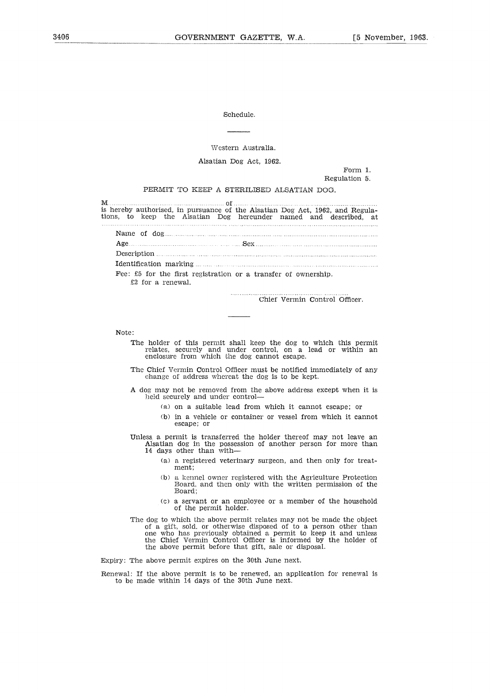### Western Australia.

| Schedule.                                                                                                                                          |
|----------------------------------------------------------------------------------------------------------------------------------------------------|
|                                                                                                                                                    |
| Western Australia.                                                                                                                                 |
| Alsatian Dog Act, 1962.                                                                                                                            |
| Form 1.<br>Regulation 5.                                                                                                                           |
| PERMIT TO KEEP A STERILISED ALSATIAN DOG.                                                                                                          |
| M                                                                                                                                                  |
| is hereby authorised, in pursuance of the Alsatian Dog Act, 1962, and Regula-<br>tions, to keep the Alsatian Dog hereunder named and described, at |
|                                                                                                                                                    |
| $\textbf{Age}$                                                                                                                                     |
|                                                                                                                                                    |
|                                                                                                                                                    |
| Fee: $\pounds 5$ for the first registration or a transfer of ownership.<br>£2 for a renewal.                                                       |

. . . . . . . . . . . . . . Chief Vermin Control Officer.

Note:

- The holder of this permit shall keep the dog to which this permit relates, securely and under control, on a lead or within an<br>enclosure from which the dog cannot escape.
- The Chief Vermin Control Officer must be notified immediately of any change of address whereat the dog is to be kept.
- A dog may not be removed from the above address except when **it is** held securely and under control
	- (a) on a suitable lead from which it cannot escape; or
	- (b) in a vehicle or container or vessel from which it cannot escape; or

Unless a permit is transferred the holder thereof may not leave an Alsatian dog in the possession of another person for more than 14 days other than with—.

- (a) a registered veterinary surgeon, and then only for treatment;
- (b) a kennel owner registered with the Agriculture Protection Board, and then only with the written permission of the Board;
- (c) a servant or an employee or a member of the household of the permit holder.
- The dog to which the above permit relates may not be made the object of a gift, sold, or otherwise disposed of to a person other than one who has previously obtained a permit to keep it and unless the Chief Vermin Control Officer is informed by the holder of the above permit before that gift, sale or disposal.

Expiry: The above permit expires on the 30th June next.

Renewal: If the above permit is to be renewed, an application for renewal is to be made within 14 days of the 30th June next.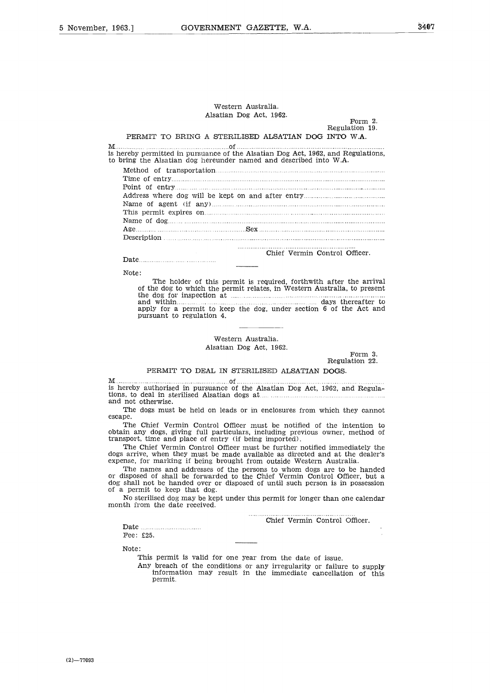## Western Australia. Alsatian Dog Act, 1962.

### Form 2. Regulation 19.

### PERMIT TO BRING A STERILISED ALSATIAN DOG INTO W.A.

is hereby permitted in pursuance of the Alsatian Dog Act, 1962, and Regulations, M to bring the Alsatian dog hereunder named and described into W.A. ern<br>n L<br>RIL<br>of ...<br>ther Method of transportation 7<br>8 ม.ค.ศ. 1958<br>1958 : 1959<br>1959 : 1959

| Western Australia.<br>Alsatian Dog Act, 1962.<br>Form $2.$<br>Regulation 19.<br>PERMIT TO BRING A STERILISED ALSATIAN DOG INTO W.A.                                                                                                               |
|---------------------------------------------------------------------------------------------------------------------------------------------------------------------------------------------------------------------------------------------------|
|                                                                                                                                                                                                                                                   |
| nereby permitted in pursuance of the Alsatian Dog Act, 1962, and Regulations,<br>bring the Alsatian dog hereunder named and described into W.A.                                                                                                   |
|                                                                                                                                                                                                                                                   |
|                                                                                                                                                                                                                                                   |
|                                                                                                                                                                                                                                                   |
|                                                                                                                                                                                                                                                   |
|                                                                                                                                                                                                                                                   |
| This permit expires on <u>manual experience</u> of the set of the set of the set of the set of the set of the set of the set of the set of the set of the set of the set of the set of the set of the set of the set of the set of                |
| $\mathbf{Age}$                                                                                                                                                                                                                                    |
|                                                                                                                                                                                                                                                   |
| Chief Vermin Control Officer.<br>Date $\ldots$ $\ldots$ $\ldots$ $\ldots$ $\ldots$ $\ldots$ $\ldots$                                                                                                                                              |
| Note:                                                                                                                                                                                                                                             |
| The holder of this permit is required, forthwith after the arrival<br>of the dog to which the permit relates, in Western Australia, to present<br>apply for a permit to keep the dog, under section 6 of the Act and<br>pursuant to regulation 4. |
|                                                                                                                                                                                                                                                   |

### Chief Vermin Control Officer.

Note: The holder of this permit is required, forthwith after the arrival of the dog to which the permit relates, in Western Australia, to present the dog for inspection at days thereafter to apply for a permit to keep the dog, under section 6 of the Act and of 

Western Australia. Alsatian Dog Act, 1962.

Form 3. Regulation 22.

### PERMIT TO DEAL IN STERILISED ALSATIAN DOGS.

is hereby authorised in pursuance of the Alsatian Dog Act, 1962, and Regulations, to deal in sterilised Alsatian dogs at M and not otherwise. is also the reference of the control of the control of the control of the control of the control of the control of the control of the control of the control of the control of the control of the control of the control of th

The dogs must be held on leads or in enclosures from which they cannot escape.

The Chief Vermin Control Officer must be notified of the intention to obtain any dogs, giving full particulars, including previous owner, method of transport, time and place of entry (if being imported).

The Chief Vermin Control Officer must be further notified immediately the dogs arrive, when they must be made available as directed and at the dealer's expense, for marking if being brought from outside Western Australia.

The names and addresses of the persons to whom dogs are to be handed or disposed of shall be forwarded to the Chief Vermin Control Officer, but a dog shall not be handed over or disposed of until such person is in possession of a permit to keep that dog. 

No sterilised dog may be kept under this permit for longer than one calendar month from the date received.

Chief Vermin Control Officer.

Date Fee: £25.

Note:

This permit is valid for one year from the date of issue.

Any breach of the conditions or any irregularity or failure to supply information may result in the immediate cancellation of this permit.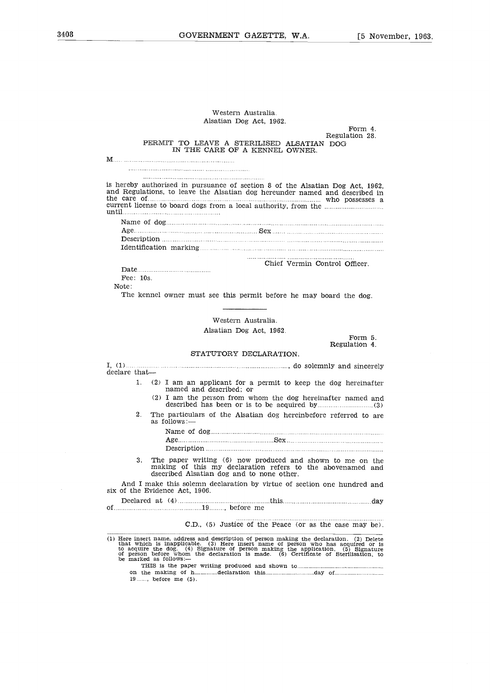|               | Western Australia.                                                                                                                                                                                                                                                                                                                                                                             |
|---------------|------------------------------------------------------------------------------------------------------------------------------------------------------------------------------------------------------------------------------------------------------------------------------------------------------------------------------------------------------------------------------------------------|
|               | Alsatian Dog Act, 1962.                                                                                                                                                                                                                                                                                                                                                                        |
|               | Form 4.<br>Regulation 28.                                                                                                                                                                                                                                                                                                                                                                      |
|               | PERMIT TO LEAVE A STERILISED ALSATIAN DOG<br>IN THE CARE OF A KENNEL OWNER.                                                                                                                                                                                                                                                                                                                    |
|               |                                                                                                                                                                                                                                                                                                                                                                                                |
|               |                                                                                                                                                                                                                                                                                                                                                                                                |
|               | is hereby authorised in pursuance of section 8 of the Alsatian Dog Act, 1962,<br>and Regulations, to leave the Alsatian dog hereunder named and described in<br>the care of measurements are the care of the care of the care of the care of the care of the care of the care of the care of the care of the care of the care of the care of the care of the care of the care of the care of t |
|               |                                                                                                                                                                                                                                                                                                                                                                                                |
|               |                                                                                                                                                                                                                                                                                                                                                                                                |
|               |                                                                                                                                                                                                                                                                                                                                                                                                |
|               |                                                                                                                                                                                                                                                                                                                                                                                                |
|               | Chief Vermin Control Officer.                                                                                                                                                                                                                                                                                                                                                                  |
| Fee: 10s.     |                                                                                                                                                                                                                                                                                                                                                                                                |
| Note:         |                                                                                                                                                                                                                                                                                                                                                                                                |
|               | The kennel owner must see this permit before he may board the dog.                                                                                                                                                                                                                                                                                                                             |
|               |                                                                                                                                                                                                                                                                                                                                                                                                |
|               | Western Australia.                                                                                                                                                                                                                                                                                                                                                                             |
|               | Alsatian Dog Act, 1962.<br>Form 5.                                                                                                                                                                                                                                                                                                                                                             |
|               | Regulation 4.                                                                                                                                                                                                                                                                                                                                                                                  |
|               | STATUTORY DECLARATION.                                                                                                                                                                                                                                                                                                                                                                         |
| declare that- |                                                                                                                                                                                                                                                                                                                                                                                                |
| 1.            | (2) I am an applicant for a permit to keep the dog hereinafter<br>named and described: or                                                                                                                                                                                                                                                                                                      |
|               | (2) I am the person from whom the dog hereinafter named and                                                                                                                                                                                                                                                                                                                                    |
| $2_{-}$       | The particulars of the Alsatian dog hereinbefore referred to are<br>as follows:—                                                                                                                                                                                                                                                                                                               |
|               |                                                                                                                                                                                                                                                                                                                                                                                                |
|               |                                                                                                                                                                                                                                                                                                                                                                                                |
|               |                                                                                                                                                                                                                                                                                                                                                                                                |
| 3.            | The paper writing (6) now produced and shown to me on the<br>making of this my declaration refers to the abovenamed and<br>dsecribed Alsatian dog and to none other.                                                                                                                                                                                                                           |
|               | And I make this solemn declaration by virtue of section one hundred and<br>six of the Evidence Act, 1906.                                                                                                                                                                                                                                                                                      |
|               |                                                                                                                                                                                                                                                                                                                                                                                                |
|               | C.D., (5) Justice of the Peace (or as the case may be).                                                                                                                                                                                                                                                                                                                                        |
|               | (1) Here insert name, address and description of person making the declaration. (2) Delete<br>that which is inapplicable. (3) Here insert name of person who has acquired or is<br>to acquire the dog. (4) Signature of person maki<br>be marked as follows:-<br>$19 \dots $ , before me $(5)$ .                                                                                               |
|               |                                                                                                                                                                                                                                                                                                                                                                                                |